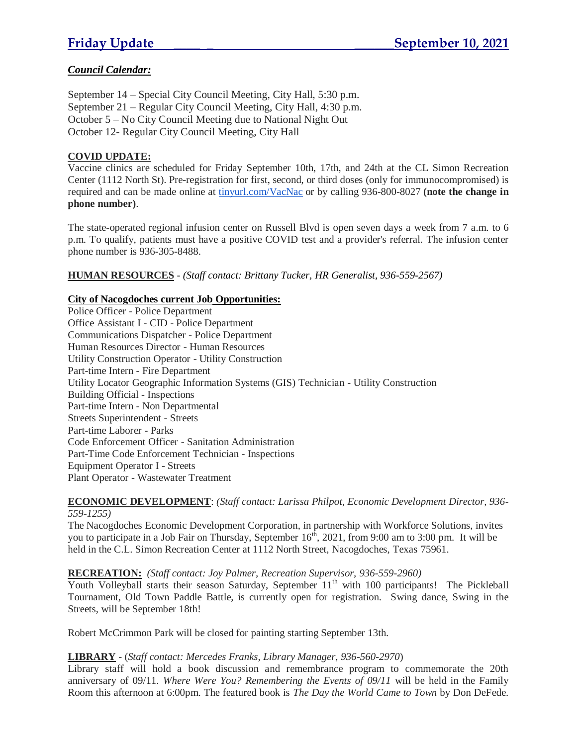# *Council Calendar:*

September 14 – Special City Council Meeting, City Hall, 5:30 p.m. September 21 – Regular City Council Meeting, City Hall, 4:30 p.m. October 5 – No City Council Meeting due to National Night Out October 12- Regular City Council Meeting, City Hall

### **COVID UPDATE:**

Vaccine clinics are scheduled for Friday September 10th, 17th, and 24th at the CL Simon Recreation Center (1112 North St). Pre-registration for first, second, or third doses (only for immunocompromised) is required and can be made online at [tinyurl.com/VacNac](http://tinyurl.com/VacNac) or by calling 936-800-8027 **(note the change in phone number)**.

The state-operated regional infusion center on Russell Blvd is open seven days a week from 7 a.m. to 6 p.m. To qualify, patients must have a positive COVID test and a provider's referral. The infusion center phone number is 936-305-8488.

**HUMAN RESOURCES** - *(Staff contact: Brittany Tucker, HR Generalist, 936-559-2567)*

#### **City of Nacogdoches current Job Opportunities:**

Police Officer - Police Department Office Assistant I - CID - Police Department Communications Dispatcher - Police Department Human Resources Director - Human Resources Utility Construction Operator - Utility Construction Part-time Intern - Fire Department Utility Locator Geographic Information Systems (GIS) Technician - Utility Construction Building Official - Inspections Part-time Intern - Non Departmental Streets Superintendent - Streets Part-time Laborer - Parks Code Enforcement Officer - Sanitation Administration Part-Time Code Enforcement Technician - Inspections Equipment Operator I - Streets Plant Operator - Wastewater Treatment

#### **ECONOMIC DEVELOPMENT**: *(Staff contact: Larissa Philpot, Economic Development Director, 936- 559-1255)*

The Nacogdoches Economic Development Corporation, in partnership with Workforce Solutions, invites you to participate in a Job Fair on Thursday, September 16<sup>th</sup>, 2021, from 9:00 am to 3:00 pm. It will be held in the C.L. Simon Recreation Center at 1112 North Street, Nacogdoches, Texas 75961.

#### **RECREATION:** *(Staff contact: Joy Palmer, Recreation Supervisor, 936-559-2960)*

Youth Volleyball starts their season Saturday, September 11<sup>th</sup> with 100 participants! The Pickleball Tournament, Old Town Paddle Battle, is currently open for registration. Swing dance, Swing in the Streets, will be September 18th!

Robert McCrimmon Park will be closed for painting starting September 13th.

#### **LIBRARY** - (*Staff contact: Mercedes Franks, Library Manager, 936-560-2970*)

Library staff will hold a book discussion and remembrance program to commemorate the 20th anniversary of 09/11. *Where Were You? Remembering the Events of 09/11* will be held in the Family Room this afternoon at 6:00pm. The featured book is *The Day the World Came to Town* by Don DeFede.